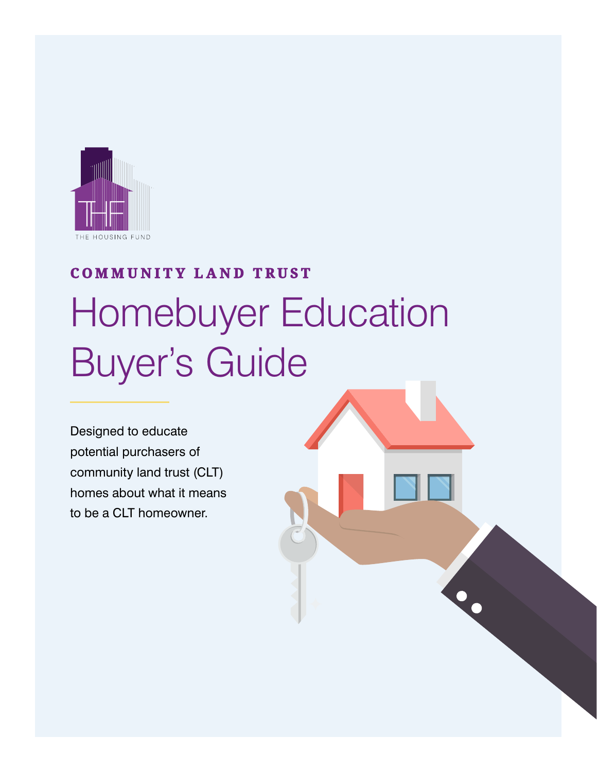

## Homebuyer Education Buyer's Guide **COMMUNITY LAND TRUST**

Designed to educate potential purchasers of community land trust (CLT) homes about what it means to be a CLT homeowner.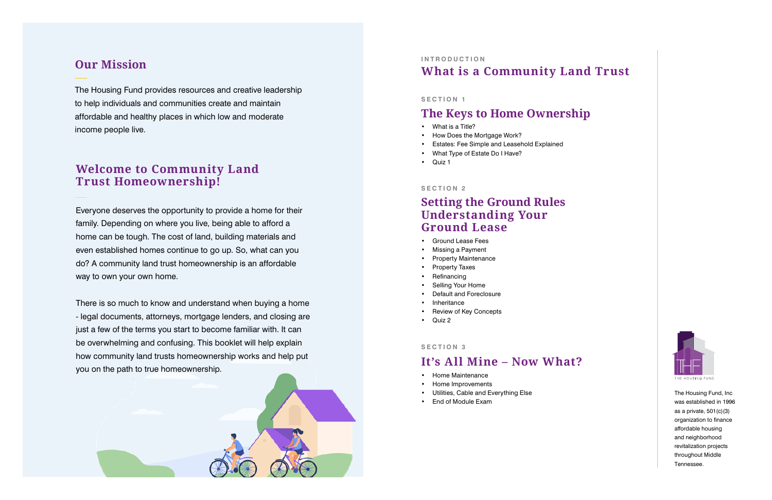The Housing Fund, Inc was established in 1996 as a private, 501(c)(3) organization to finance affordable housing and neighborhood revitalization projects throughout Middle Tennessee.

### **Our Mission INTRODUCTION What is a Community Land Trust**

The Housing Fund provides resources and creative leadership to help individuals and communities create and maintain affordable and healthy places in which low and moderate income people live.

#### **SECTION 1**

## **The Keys to Home Ownership**

- What is a Title?
- How Does the Mortgage Work?
- Estates: Fee Simple and Leasehold Explained
- What Type of Estate Do I Have?
- Quiz 1

#### **SECTION 2**

## **Setting the Ground Rules Understanding Your Ground Lease**

- Ground Lease Fees
- Missing a Payment
- Property Maintenance
- Property Taxes
- **Refinancing**
- Selling Your Home
- Default and Foreclosure
- **Inheritance**
- Review of Key Concepts
- Quiz 2

#### **SECTION 3**

## **It's All Mine – Now What?**

- Home Maintenance
- Home Improvements
- Utilities, Cable and Everything Else
- End of Module Exam



Everyone deserves the opportunity to provide a home for their family. Depending on where you live, being able to afford a home can be tough. The cost of land, building materials and even established homes continue to go up. So, what can you do? A community land trust homeownership is an affordable way to own your own home.

There is so much to know and understand when buying a home - legal documents, attorneys, mortgage lenders, and closing are just a few of the terms you start to become familiar with. It can be overwhelming and confusing. This booklet will help explain how community land trusts homeownership works and help put you on the path to true homeownership.

## **Welcome to Community Land Trust Homeownership!**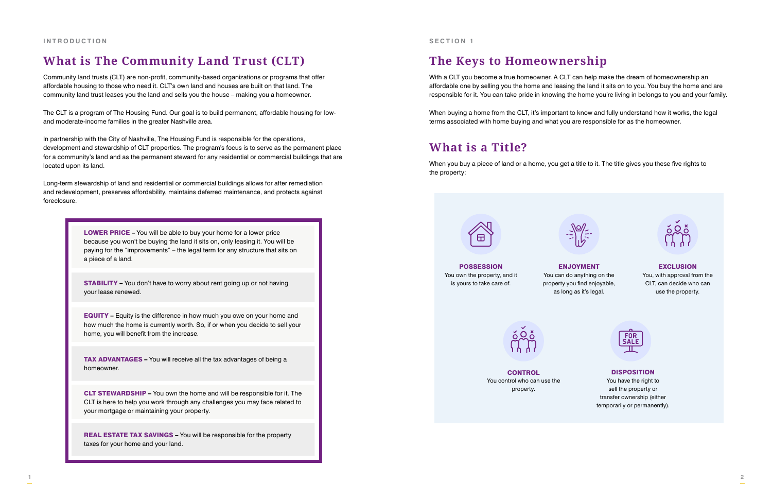With a CLT you become a true homeowner. A CLT can help make the dream of homeownership an affordable one by selling you the home and leasing the land it sits on to you. You buy the home and are responsible for it. You can take pride in knowing the home you're living in belongs to you and your family.

When buying a home from the CLT, it's important to know and fully understand how it works, the legal terms associated with home buying and what you are responsible for as the homeowner.

When you buy a piece of land or a home, you get a title to it. The title gives you these five rights to the property:



**CONTROL** You control who can use the property.

## **What is a Title?**

## **The Keys to Homeownership**

You, with approval from the CLT, can decide who can use the property.



#### **DISPOSITION**



ENJOYMENT You can do anything on the property you find enjoyable, as long as it's legal.



#### **EXCLUSION**

You have the right to sell the property or transfer ownership (either temporarily or permanently).

POSSESSION You own the property, and it is yours to take care of.



Community land trusts (CLT) are non-profit, community-based organizations or programs that offer affordable housing to those who need it. CLT's own land and houses are built on that land. The community land trust leases you the land and sells you the house – making you a homeowner.

The CLT is a program of The Housing Fund. Our goal is to build permanent, affordable housing for lowand moderate-income families in the greater Nashville area.

In partnership with the City of Nashville, The Housing Fund is responsible for the operations, development and stewardship of CLT properties. The program's focus is to serve as the permanent place for a community's land and as the permanent steward for any residential or commercial buildings that are located upon its land.

Long-term stewardship of land and residential or commercial buildings allows for after remediation and redevelopment, preserves affordability, maintains deferred maintenance, and protects against foreclosure.

## **What is The Community Land Trust (CLT)**

LOWER PRICE – You will be able to buy your home for a lower price because you won't be buying the land it sits on, only leasing it. You will be paying for the "improvements" – the legal term for any structure that sits on a piece of a land.

STABILITY – You don't have to worry about rent going up or not having your lease renewed.

EQUITY – Equity is the difference in how much you owe on your home and how much the home is currently worth. So, if or when you decide to sell your home, you will benefit from the increase.

TAX ADVANTAGES – You will receive all the tax advantages of being a homeowner.

CLT STEWARDSHIP – You own the home and will be responsible for it. The CLT is here to help you work through any challenges you may face related to your mortgage or maintaining your property.

REAL ESTATE TAX SAVINGS – You will be responsible for the property taxes for your home and your land.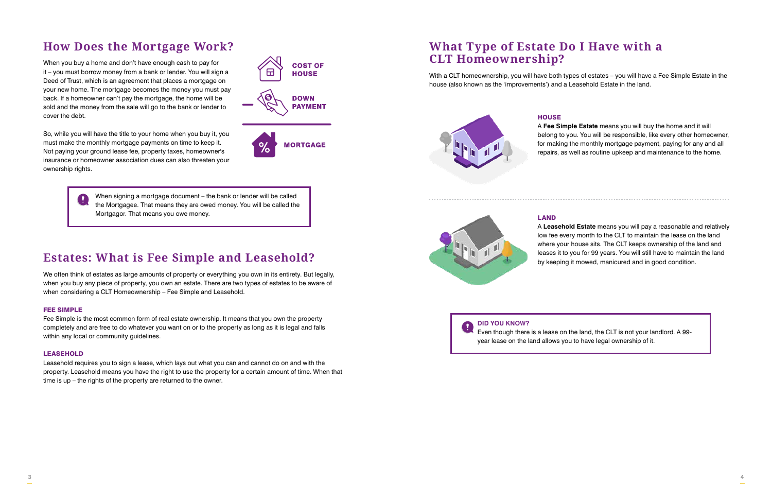When you buy a home and don't have enough cash to pay for it – you must borrow money from a bank or lender. You will sign a Deed of Trust, which is an agreement that places a mortgage on your new home. The mortgage becomes the money you must pay back. If a homeowner can't pay the mortgage, the home will be sold and the money from the sale will go to the bank or lender to cover the debt.

So, while you will have the title to your home when you buy it, you must make the monthly mortgage payments on time to keep it. Not paying your ground lease fee, property taxes, homeowner's insurance or homeowner association dues can also threaten your ownership rights.

**COST OF HOUSE DOWN PAYMENT** 

**MORTGAGE** 

We often think of estates as large amounts of property or everything you own in its entirety. But legally, when you buy any piece of property, you own an estate. There are two types of estates to be aware of when considering a CLT Homeownership – Fee Simple and Leasehold.

With a CLT homeownership, you will have both types of estates – you will have a Fee Simple Estate in the house (also known as the 'improvements') and a Leasehold Estate in the land.

# **HOUSE**

#### FEE SIMPLE

Fee Simple is the most common form of real estate ownership. It means that you own the property completely and are free to do whatever you want on or to the property as long as it is legal and falls within any local or community guidelines.

#### LEASEHOLD

Leasehold requires you to sign a lease, which lays out what you can and cannot do on and with the property. Leasehold means you have the right to use the property for a certain amount of time. When that time is up – the rights of the property are returned to the owner.

#### LAND

A **Leasehold Estate** means you will pay a reasonable and relatively low fee every month to the CLT to maintain the lease on the land where your house sits. The CLT keeps ownership of the land and leases it to you for 99 years. You will still have to maintain the land by keeping it mowed, manicured and in good condition.

A **Fee Simple Estate** means you will buy the home and it will belong to you. You will be responsible, like every other homeowner, for making the monthly mortgage payment, paying for any and all repairs, as well as routine upkeep and maintenance to the home.

## **How Does the Mortgage Work? What Type of Estate Do I Have with a CLT Homeownership?**

## **Estates: What is Fee Simple and Leasehold?**



Even though there is a lease on the land, the CLT is not your landlord. A 99 year lease on the land allows you to have legal ownership of it.

When signing a mortgage document – the bank or lender will be called the Mortgagee. That means they are owed money. You will be called the Mortgagor. That means you owe money.

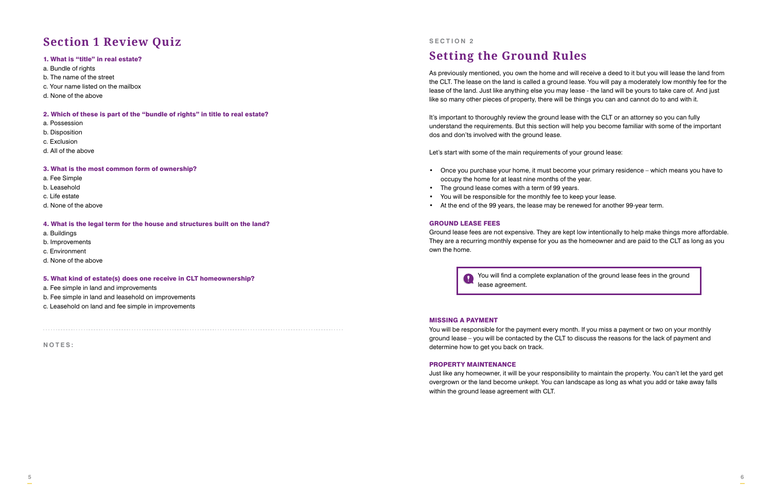#### 1. What is "title" in real estate?

- a. Bundle of rights
- b. The name of the street
- c. Your name listed on the mailbox
- d. None of the above

#### 2. Which of these is part of the "bundle of rights" in title to real estate?

- a. Possession
- b. Disposition
- c. Exclusion
- d. All of the above

#### 3. What is the most common form of ownership?

- a. Fee Simple
- b. Leasehold
- c. Life estate
- d. None of the above

#### 4. What is the legal term for the house and structures built on the land?

- a. Buildings
- b. Improvements
- c. Environment
- d. None of the above

#### 5. What kind of estate(s) does one receive in CLT homeownership?

- a. Fee simple in land and improvements
- b. Fee simple in land and leasehold on improvements
- c. Leasehold on land and fee simple in improvements

## **Section 1 Review Quiz**

As previously mentioned, you own the home and will receive a deed to it but you will lease the land from the CLT. The lease on the land is called a ground lease. You will pay a moderately low monthly fee for the lease of the land. Just like anything else you may lease - the land will be yours to take care of. And just like so many other pieces of property, there will be things you can and cannot do to and with it.

It's important to thoroughly review the ground lease with the CLT or an attorney so you can fully understand the requirements. But this section will help you become familiar with some of the important dos and don'ts involved with the ground lease.

> $\mathbf \Omega$ lease agreement.

Let's start with some of the main requirements of your ground lease:

• Once you purchase your home, it must become your primary residence – which means you have to

- occupy the home for at least nine months of the year.
- The ground lease comes with a term of 99 years.
- You will be responsible for the monthly fee to keep your lease.
- At the end of the 99 years, the lease may be renewed for another 99-year term.

#### GROUND LEASE FEES

Ground lease fees are not expensive. They are kept low intentionally to help make things more affordable. They are a recurring monthly expense for you as the homeowner and are paid to the CLT as long as you own the home.

#### MISSING A PAYMENT

You will be responsible for the payment every month. If you miss a payment or two on your monthly ground lease – you will be contacted by the CLT to discuss the reasons for the lack of payment and determine how to get you back on track.

#### PROPERTY MAINTENANCE

Just like any homeowner, it will be your responsibility to maintain the property. You can't let the yard get overgrown or the land become unkept. You can landscape as long as what you add or take away falls within the ground lease agreement with CLT.

## **Setting the Ground Rules**

#### **SECTION 2**

You will find a complete explanation of the ground lease fees in the ground

**NOTES:**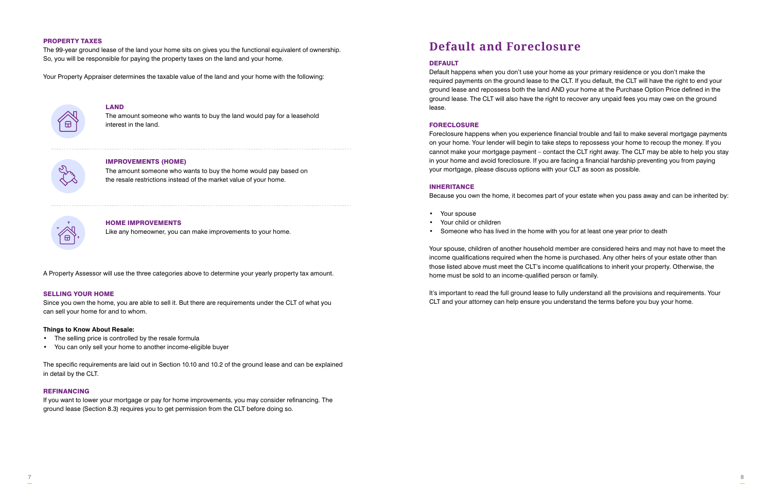#### PROPERTY TAXES

The 99-year ground lease of the land your home sits on gives you the functional equivalent of ownership. So, you will be responsible for paying the property taxes on the land and your home.

Your Property Appraiser determines the taxable value of the land and your home with the following:



A Property Assessor will use the three categories above to determine your yearly property tax amount.

#### SELLING YOUR HOME

Since you own the home, you are able to sell it. But there are requirements under the CLT of what you can sell your home for and to whom.

#### **Things to Know About Resale:**

- The selling price is controlled by the resale formula
- You can only sell your home to another income-eligible buyer

The specific requirements are laid out in Section 10.10 and 10.2 of the ground lease and can be explained in detail by the CLT.

#### REFINANCING

If you want to lower your mortgage or pay for home improvements, you may consider refinancing. The ground lease (Section 8.3) requires you to get permission from the CLT before doing so.

#### DEFAULT

Default happens when you don't use your home as your primary residence or you don't make the required payments on the ground lease to the CLT. If you default, the CLT will have the right to end your ground lease and repossess both the land AND your home at the Purchase Option Price defined in the ground lease. The CLT will also have the right to recover any unpaid fees you may owe on the ground lease.

#### FORECLOSURE

Foreclosure happens when you experience financial trouble and fail to make several mortgage payments on your home. Your lender will begin to take steps to repossess your home to recoup the money. If you cannot make your mortgage payment – contact the CLT right away. The CLT may be able to help you stay in your home and avoid foreclosure. If you are facing a financial hardship preventing you from paying your mortgage, please discuss options with your CLT as soon as possible.

#### INHERITANCE

Because you own the home, it becomes part of your estate when you pass away and can be inherited by:

- Your spouse
- Your child or children
- Someone who has lived in the home with you for at least one year prior to death

Your spouse, children of another household member are considered heirs and may not have to meet the income qualifications required when the home is purchased. Any other heirs of your estate other than those listed above must meet the CLT's income qualifications to inherit your property. Otherwise, the home must be sold to an income-qualified person or family.

It's important to read the full ground lease to fully understand all the provisions and requirements. Your CLT and your attorney can help ensure you understand the terms before you buy your home.

## **Default and Foreclosure**

#### HOME IMPROVEMENTS

Like any homeowner, you can make improvements to your home.

#### IMPROVEMENTS (HOME)

The amount someone who wants to buy the home would pay based on the resale restrictions instead of the market value of your home.



#### LAND

The amount someone who wants to buy the land would pay for a leasehold interest in the land.

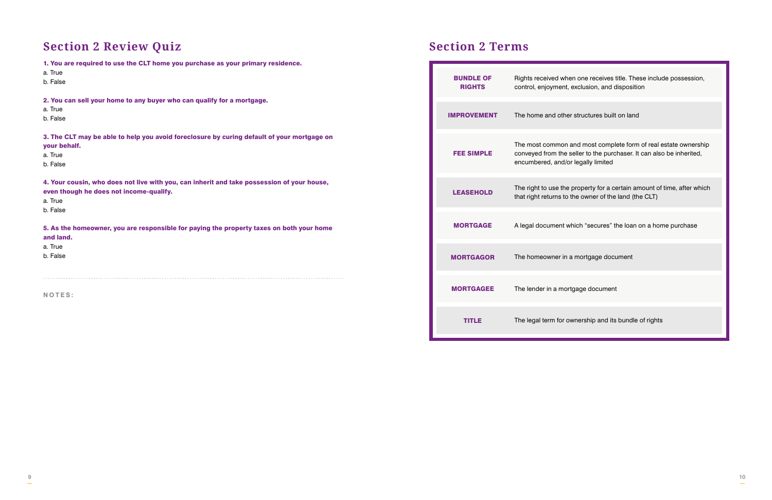## **Section 2 Review Quiz Section 2 Terms**

| 1. You are required to use the CLT home you purchase as your primary residence.                            |                                   |                                           |
|------------------------------------------------------------------------------------------------------------|-----------------------------------|-------------------------------------------|
| a. True                                                                                                    |                                   |                                           |
| b. False                                                                                                   | <b>BUNDLE OF</b><br><b>RIGHTS</b> | Rights received wh<br>control, enjoyment, |
| 2. You can sell your home to any buyer who can qualify for a mortgage.                                     |                                   |                                           |
| a. True                                                                                                    |                                   |                                           |
| b. False                                                                                                   | <b>IMPROVEMENT</b>                | The home and othe                         |
| 3. The CLT may be able to help you avoid foreclosure by curing default of your mortgage on<br>your behalf. |                                   | The most common                           |
| a. True                                                                                                    | <b>FEE SIMPLE</b>                 | conveyed from the                         |
| b. False                                                                                                   |                                   | encumbered, and/c                         |
| 4. Your cousin, who does not live with you, can inherit and take possession of your house,                 |                                   |                                           |
| even though he does not income-qualify.                                                                    | <b>LEASEHOLD</b>                  | The right to use the                      |
| a. True                                                                                                    |                                   | that right returns to                     |
| b. False                                                                                                   |                                   |                                           |
| 5. As the homeowner, you are responsible for paying the property taxes on both your home                   | <b>MORTGAGE</b>                   | A legal document v                        |
| and land.                                                                                                  |                                   |                                           |
| a. True                                                                                                    |                                   |                                           |
| b. False                                                                                                   | <b>MORTGAGOR</b>                  | The homeowner in                          |
|                                                                                                            |                                   |                                           |
| NOTES:                                                                                                     | <b>MORTGAGEE</b>                  | The lender in a mor                       |
|                                                                                                            |                                   |                                           |
|                                                                                                            | <b>TITLE</b>                      | The legal term for c                      |

en one receives title. These include possession, , exclusion, and disposition

er structures built on land

n and most complete form of real estate ownership seller to the purchaser. It can also be inherited, or legally limited

e property for a certain amount of time, after which the owner of the land (the CLT)

which "secures" the loan on a home purchase

a mortgage document

rtgage document

The legal term for ownership and its bundle of rights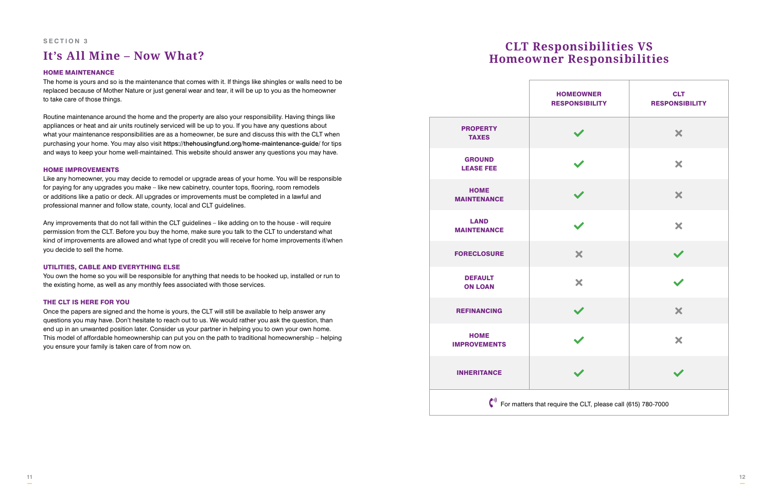#### HOME MAINTENANCE

The home is yours and so is the maintenance that comes with it. If things like shingles or walls need to be replaced because of Mother Nature or just general wear and tear, it will be up to you as the homeowner to take care of those things.

Routine maintenance around the home and the property are also your responsibility. Having things like appliances or heat and air units routinely serviced will be up to you. If you have any questions about what your maintenance responsibilities are as a homeowner, be sure and discuss this with the CLT when purchasing your home. You may also visit https://thehousingfund.org/home-maintenance-guide/ for tips and ways to keep your home well-maintained. This website should answer any questions you may have.

#### HOME IMPROVEMENTS

Like any homeowner, you may decide to remodel or upgrade areas of your home. You will be responsible for paying for any upgrades you make – like new cabinetry, counter tops, flooring, room remodels or additions like a patio or deck. All upgrades or improvements must be completed in a lawful and professional manner and follow state, county, local and CLT guidelines.

Any improvements that do not fall within the CLT guidelines – like adding on to the house - will require permission from the CLT. Before you buy the home, make sure you talk to the CLT to understand what kind of improvements are allowed and what type of credit you will receive for home improvements if/when you decide to sell the home.

#### UTILITIES, CABLE AND EVERYTHING ELSE

You own the home so you will be responsible for anything that needs to be hooked up, installed or run to the existing home, as well as any monthly fees associated with those services.

#### THE CLT IS HERE FOR YOU

Once the papers are signed and the home is yours, the CLT will still be available to help answer any questions you may have. Don't hesitate to reach out to us. We would rather you ask the question, than end up in an unwanted position later. Consider us your partner in helping you to own your own home. This model of affordable homeownership can put you on the path to traditional homeownership – helping you ensure your family is taken care of from now on.

# **It's All Mine – Now What? CLT Responsibilities VS Homeowner Responsibilities**

#### **SECTION 3**

|                                                                              | <b>HOMEOWNER</b><br><b>RESPONSIBILITY</b> | <b>CLT</b><br><b>RESPONSIBILITY</b> |  |
|------------------------------------------------------------------------------|-------------------------------------------|-------------------------------------|--|
| <b>PROPERTY</b><br><b>TAXES</b>                                              | $\blacktriangledown$                      | ×                                   |  |
| <b>GROUND</b><br><b>LEASE FEE</b>                                            |                                           | ×                                   |  |
| <b>HOME</b><br><b>AINTENANCE</b>                                             | $\blacktriangledown$                      | ×                                   |  |
| LAND<br><b>AINTENANCE</b>                                                    | $\blacktriangledown$                      | ×                                   |  |
| RECLOSURE                                                                    | ×                                         | $\blacktriangledown$                |  |
| <b>DEFAULT</b><br><b>ON LOAN</b>                                             | ×                                         | $\blacktriangledown$                |  |
| <b>EFINANCING</b>                                                            | $\blacktriangledown$                      | ×                                   |  |
| <b>HOME</b><br><b>PROVEMENTS</b>                                             | $\blacktriangledown$                      | ×                                   |  |
| <b>IHERITANCE</b>                                                            |                                           | I                                   |  |
| $\binom{10}{1}$ For matters that require the CLT, please call (615) 780-7000 |                                           |                                     |  |

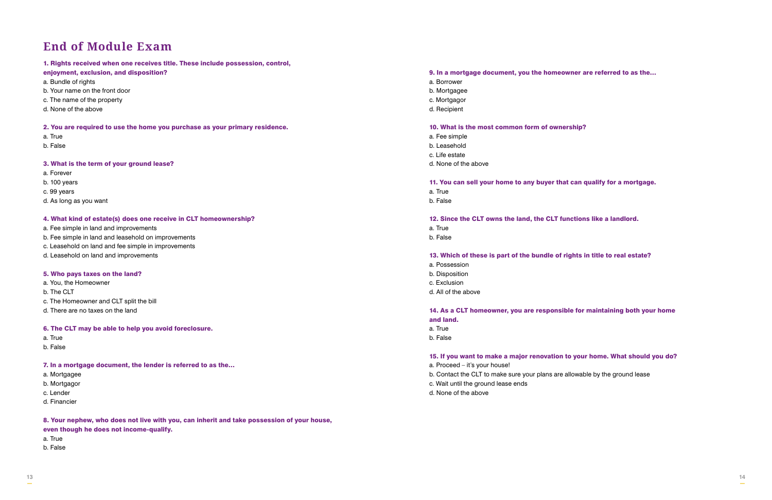#### 1. Rights received when one receives title. These include possession, control,

#### enjoyment, exclusion, and disposition?

- a. Bundle of rights
- b. Your name on the front door
- c. The name of the property
- d. None of the above

#### 2. You are required to use the home you purchase as your primary residence.

- a. True
- b. False

#### 3. What is the term of your ground lease?

- a. Forever
- b. 100 years
- c. 99 years
- d. As long as you want

#### 4. What kind of estate(s) does one receive in CLT homeownership?

- a. Fee simple in land and improvements
- b. Fee simple in land and leasehold on improvements
- c. Leasehold on land and fee simple in improvements
- d. Leasehold on land and improvements

#### 5. Who pays taxes on the land?

- a. You, the Homeowner
- b. The CLT
- c. The Homeowner and CLT split the bill
- d. There are no taxes on the land

#### 6. The CLT may be able to help you avoid foreclosure.

- a. True
- b. False

#### 7. In a mortgage document, the lender is referred to as the…

- a. Mortgagee
- b. Mortgagor
- c. Lender
- d. Financier

8. Your nephew, who does not live with you, can inherit and take possession of your house, even though he does not income-qualify.

a. True

b. False

#### 9. In a mortgage document, you the homeowner are referred to as the…

- a. Borrower
- b. Mortgagee
- c. Mortgagor
- d. Recipient

#### 10. What is the most common form of ownership?

- a. Fee simple
- b. Leasehold
- c. Life estate
- d. None of the above

#### 11. You can sell your home to any buyer that can qualify for a mortgage. a. True

b. False

#### 12. Since the CLT owns the land, the CLT functions like a landlord.

- a. True
- b. False

#### 13. Which of these is part of the bundle of rights in title to real estate?

- a. Possession
- b. Disposition
- c. Exclusion
- d. All of the above

#### 14. As a CLT homeowner, you are responsible for maintaining both your home and land.

- a. True
- b. False

#### 15. If you want to make a major renovation to your home. What should you do?

- a. Proceed it's your house!
- b. Contact the CLT to make sure your plans are allowable by the ground lease
- c. Wait until the ground lease ends
- d. None of the above

## **End of Module Exam**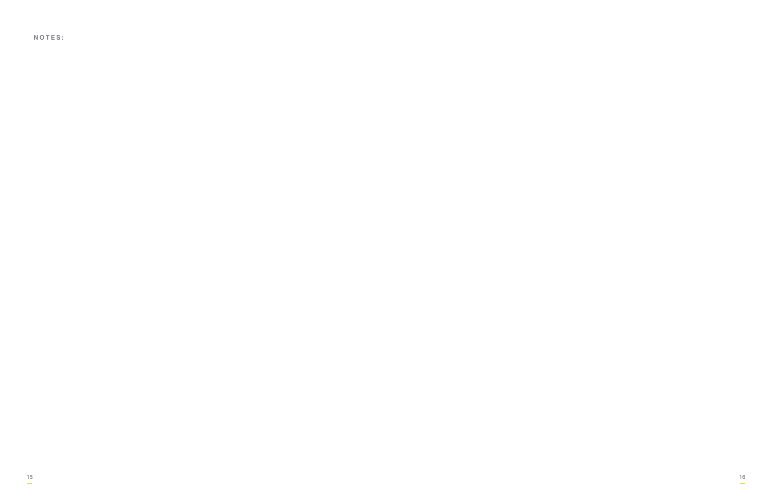**NOTES:**